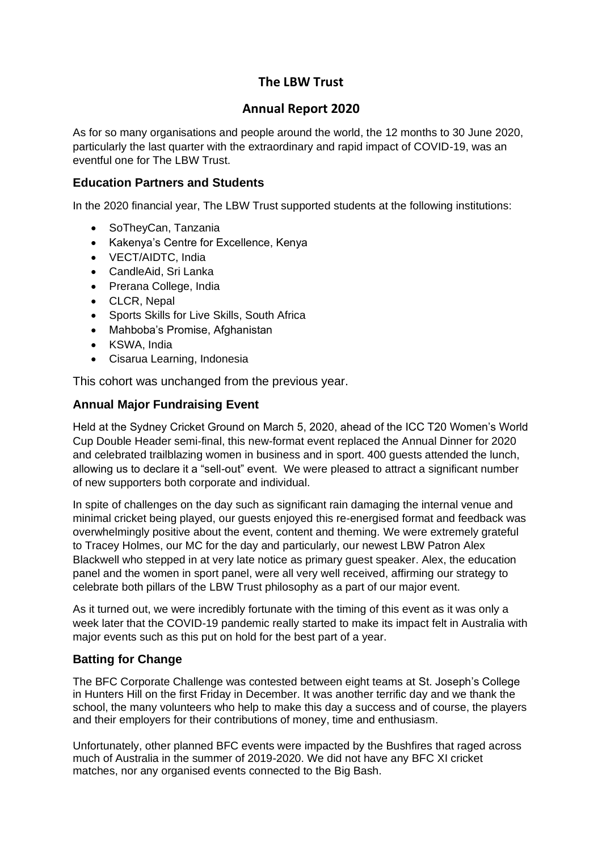# **The LBW Trust**

## **Annual Report 2020**

As for so many organisations and people around the world, the 12 months to 30 June 2020, particularly the last quarter with the extraordinary and rapid impact of COVID-19, was an eventful one for The LBW Trust.

## **Education Partners and Students**

In the 2020 financial year, The LBW Trust supported students at the following institutions:

- SoTheyCan, Tanzania
- Kakenya's Centre for Excellence, Kenya
- VECT/AIDTC, India
- CandleAid, Sri Lanka
- Prerana College, India
- CLCR, Nepal
- Sports Skills for Live Skills, South Africa
- Mahboba's Promise, Afghanistan
- KSWA, India
- Cisarua Learning, Indonesia

This cohort was unchanged from the previous year.

#### **Annual Major Fundraising Event**

Held at the Sydney Cricket Ground on March 5, 2020, ahead of the ICC T20 Women's World Cup Double Header semi-final, this new-format event replaced the Annual Dinner for 2020 and celebrated trailblazing women in business and in sport. 400 guests attended the lunch, allowing us to declare it a "sell-out" event. We were pleased to attract a significant number of new supporters both corporate and individual.

In spite of challenges on the day such as significant rain damaging the internal venue and minimal cricket being played, our guests enjoyed this re-energised format and feedback was overwhelmingly positive about the event, content and theming. We were extremely grateful to Tracey Holmes, our MC for the day and particularly, our newest LBW Patron Alex Blackwell who stepped in at very late notice as primary guest speaker. Alex, the education panel and the women in sport panel, were all very well received, affirming our strategy to celebrate both pillars of the LBW Trust philosophy as a part of our major event.

As it turned out, we were incredibly fortunate with the timing of this event as it was only a week later that the COVID-19 pandemic really started to make its impact felt in Australia with major events such as this put on hold for the best part of a year.

#### **Batting for Change**

The BFC Corporate Challenge was contested between eight teams at St. Joseph's College in Hunters Hill on the first Friday in December. It was another terrific day and we thank the school, the many volunteers who help to make this day a success and of course, the players and their employers for their contributions of money, time and enthusiasm.

Unfortunately, other planned BFC events were impacted by the Bushfires that raged across much of Australia in the summer of 2019-2020. We did not have any BFC XI cricket matches, nor any organised events connected to the Big Bash.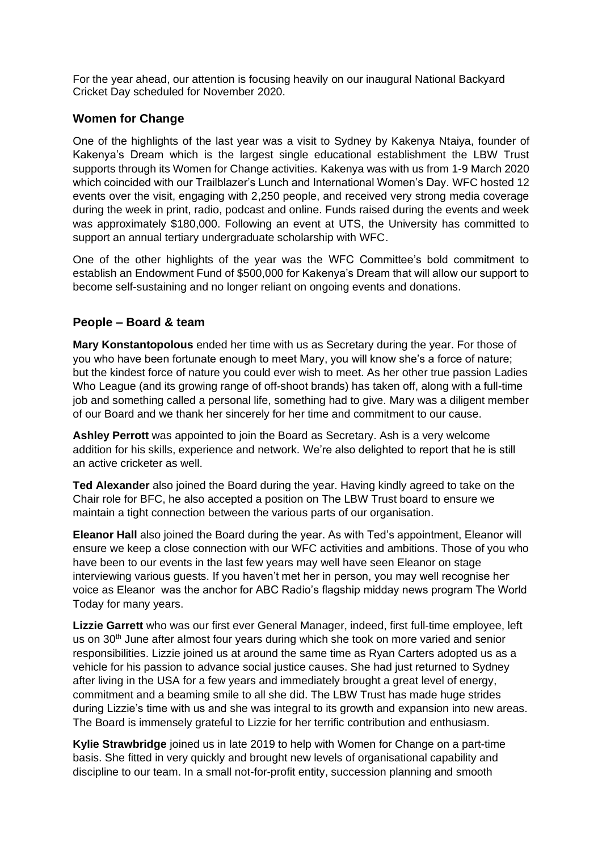For the year ahead, our attention is focusing heavily on our inaugural National Backyard Cricket Day scheduled for November 2020.

## **Women for Change**

One of the highlights of the last year was a visit to Sydney by Kakenya Ntaiya, founder of Kakenya's Dream which is the largest single educational establishment the LBW Trust supports through its Women for Change activities. Kakenya was with us from 1-9 March 2020 which coincided with our Trailblazer's Lunch and International Women's Day. WFC hosted 12 events over the visit, engaging with 2,250 people, and received very strong media coverage during the week in print, radio, podcast and online. Funds raised during the events and week was approximately \$180,000. Following an event at UTS, the University has committed to support an annual tertiary undergraduate scholarship with WFC.

One of the other highlights of the year was the WFC Committee's bold commitment to establish an Endowment Fund of \$500,000 for Kakenya's Dream that will allow our support to become self-sustaining and no longer reliant on ongoing events and donations.

## **People – Board & team**

**Mary Konstantopolous** ended her time with us as Secretary during the year. For those of you who have been fortunate enough to meet Mary, you will know she's a force of nature; but the kindest force of nature you could ever wish to meet. As her other true passion Ladies Who League (and its growing range of off-shoot brands) has taken off, along with a full-time job and something called a personal life, something had to give. Mary was a diligent member of our Board and we thank her sincerely for her time and commitment to our cause.

**Ashley Perrott** was appointed to join the Board as Secretary. Ash is a very welcome addition for his skills, experience and network. We're also delighted to report that he is still an active cricketer as well.

**Ted Alexander** also joined the Board during the year. Having kindly agreed to take on the Chair role for BFC, he also accepted a position on The LBW Trust board to ensure we maintain a tight connection between the various parts of our organisation.

**Eleanor Hall** also joined the Board during the year. As with Ted's appointment, Eleanor will ensure we keep a close connection with our WFC activities and ambitions. Those of you who have been to our events in the last few years may well have seen Eleanor on stage interviewing various guests. If you haven't met her in person, you may well recognise her voice as Eleanor was the anchor for ABC Radio's flagship midday news program The World Today for many years.

**Lizzie Garrett** who was our first ever General Manager, indeed, first full-time employee, left us on 30<sup>th</sup> June after almost four years during which she took on more varied and senior responsibilities. Lizzie joined us at around the same time as Ryan Carters adopted us as a vehicle for his passion to advance social justice causes. She had just returned to Sydney after living in the USA for a few years and immediately brought a great level of energy, commitment and a beaming smile to all she did. The LBW Trust has made huge strides during Lizzie's time with us and she was integral to its growth and expansion into new areas. The Board is immensely grateful to Lizzie for her terrific contribution and enthusiasm.

**Kylie Strawbridge** joined us in late 2019 to help with Women for Change on a part-time basis. She fitted in very quickly and brought new levels of organisational capability and discipline to our team. In a small not-for-profit entity, succession planning and smooth